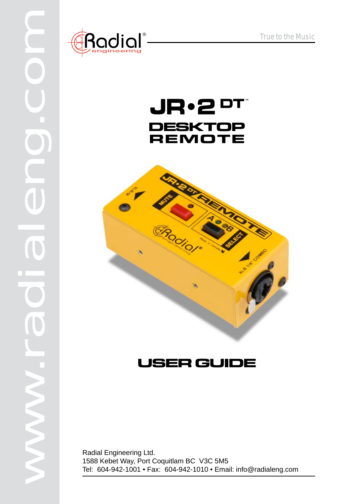

# JR.2 **PT DESKTOP REMOTE**



# **USER GUIDE**

Radial Engineering Ltd. 1588 Kebet Way, Port Coquitlam BC V3C 5M5 Tel: 604-942-1001 • Fax: 604-942-1010 • Email: info@radialeng.com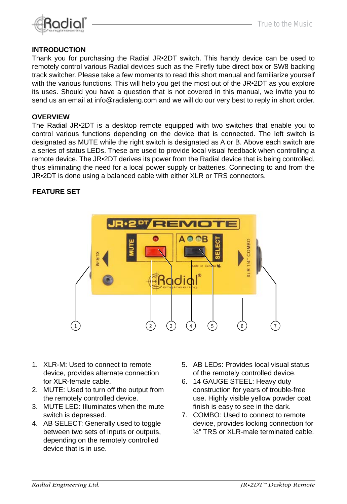

#### **INTRODUCTION**

Thank you for purchasing the Radial JR•2DT switch. This handy device can be used to remotely control various Radial devices such as the Firefly tube direct box or SW8 backing track switcher. Please take a few moments to read this short manual and familiarize yourself with the various functions. This will help you get the most out of the JR•2DT as you explore its uses. Should you have a question that is not covered in this manual, we invite you to send us an email at info@radialeng.com and we will do our very best to reply in short order.

#### **OVERVIEW**

The Radial JR•2DT is a desktop remote equipped with two switches that enable you to control various functions depending on the device that is connected. The left switch is designated as MUTE while the right switch is designated as A or B. Above each switch are a series of status LEDs. These are used to provide local visual feedback when controlling a remote device. The JR•2DT derives its power from the Radial device that is being controlled, thus eliminating the need for a local power supply or batteries. Connecting to and from the JR•2DT is done using a balanced cable with either XLR or TRS connectors.

#### **FEATURE SET**



- 1. XLR-M: Used to connect to remote device, provides alternate connection for XLR-female cable.
- 2. MUTE: Used to turn off the output from the remotely controlled device.
- 3. MUTE LED: Illuminates when the mute switch is depressed.
- 4. AB SELECT: Generally used to toggle between two sets of inputs or outputs, depending on the remotely controlled device that is in use.
- 5. AB LEDs: Provides local visual status of the remotely controlled device.
- 6. 14 GAUGE STEEL: Heavy duty construction for years of trouble-free use. Highly visible yellow powder coat finish is easy to see in the dark.
- 7. COMBO: Used to connect to remote device, provides locking connection for ¼" TRS or XLR-male terminated cable.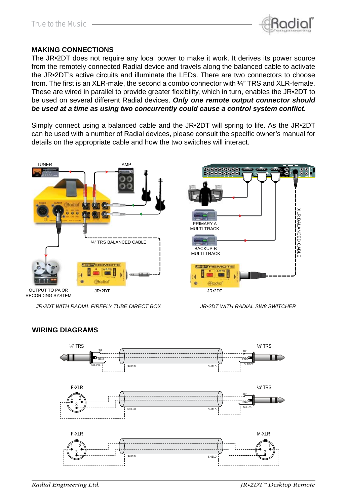

#### **MAKING CONNECTIONS**

The JR•2DT does not require any local power to make it work. It derives its power source from the remotely connected Radial device and travels along the balanced cable to activate the JR•2DT's active circuits and illuminate the LEDs. There are two connectors to choose from. The first is an XLR-male, the second a combo connector with ¼" TRS and XLR-female. These are wired in parallel to provide greater flexibility, which in turn, enables the JR $\cdot$ 2DT to be used on several different Radial devices. *Only one remote output connector should*  be used at a time as using two concurrently could cause a control system conflict.

Simply connect using a balanced cable and the JR•2DT will spring to life. As the JR•2DT can be used with a number of Radial devices, please consult the specific owner's manual for details on the appropriate cable and how the two switches will interact.





RECORDING SYSTEM

*JR•2DT WITH RADIAL FIREFLY TUBE DIRECT BOX JR•2DT WITH RADIAL SW8 SWITCHER*



### **WIRING DIAGRAMS**